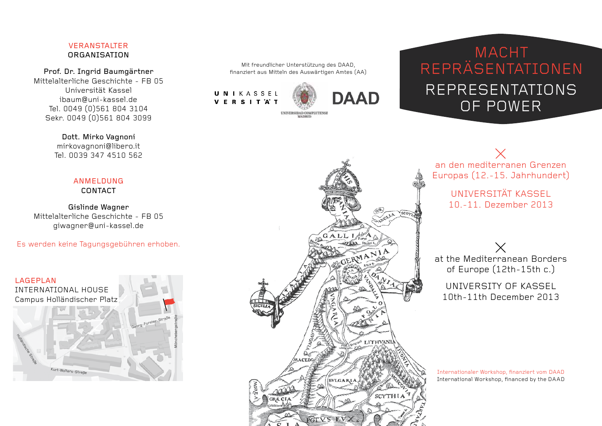# Veranstalter **ORGANISATION**

Prof. Dr. Ingrid Baumgärtner Mittelalterliche Geschichte - FB 05 Universität Kassel ibaum@uni-kassel.de Tel. 0049 (0)561 804 3104 Sekr. 0049 (0)561 804 3099

> Dott. Mirko Vagnoni mirkovagnoni@libero.it Tel. 0039 347 4510 562

### ANMELDUNG CONTACT

Gislinde Wagner Mittelalterliche Geschichte - FB 05 giwagner@uni-kassel.de

Es werden keine Tagungsgebühren erhoben.



Mit freundlicher Unterstützung des DAAD, finanziert aus Mitteln des Auswärtigen Amtes (AA)

MATHETI

UNIKASSEL **VERSITAT** 



# **MACHT** repräsentationen representations of power



an den mediterranen Grenzen Europas (12.-15. Jahrhundert)

> Universität Kassel 10.-11. Dezember 2013

at the Mediterranean Borders of Europe (12th-15th c.)

University of Kassel 10th-11th December 2013

Internationaler Workshop, finanziert vom DAAD International Workshop, financed by the DAAD